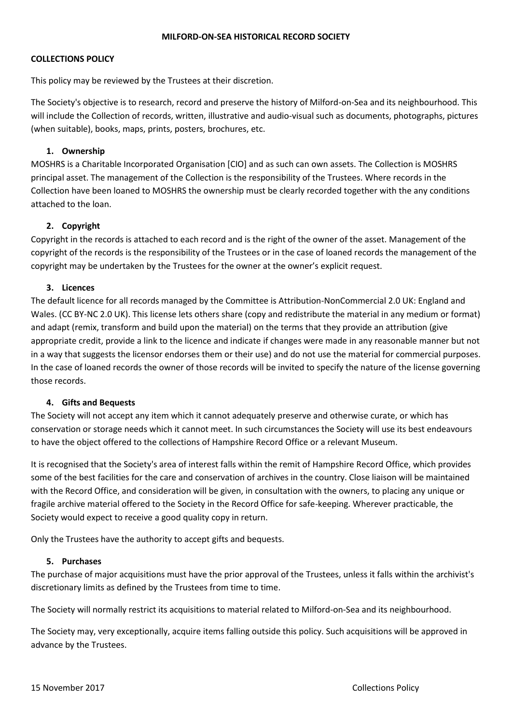#### **MILFORD-ON-SEA HISTORICAL RECORD SOCIETY**

### **COLLECTIONS POLICY**

This policy may be reviewed by the Trustees at their discretion.

The Society's objective is to research, record and preserve the history of Milford-on-Sea and its neighbourhood. This will include the Collection of records, written, illustrative and audio-visual such as documents, photographs, pictures (when suitable), books, maps, prints, posters, brochures, etc.

## **1. Ownership**

MOSHRS is a Charitable Incorporated Organisation [CIO] and as such can own assets. The Collection is MOSHRS principal asset. The management of the Collection is the responsibility of the Trustees. Where records in the Collection have been loaned to MOSHRS the ownership must be clearly recorded together with the any conditions attached to the loan.

### **2. Copyright**

Copyright in the records is attached to each record and is the right of the owner of the asset. Management of the copyright of the records is the responsibility of the Trustees or in the case of loaned records the management of the copyright may be undertaken by the Trustees for the owner at the owner's explicit request.

### **3. Licences**

The default licence for all records managed by the Committee is Attribution-NonCommercial 2.0 UK: England and Wales. (CC BY-NC 2.0 UK). This license lets others share (copy and redistribute the material in any medium or format) and adapt (remix, transform and build upon the material) on the terms that they provide an attribution (give appropriate credit, provide a link to the licence and indicate if changes were made in any reasonable manner but not in a way that suggests the licensor endorses them or their use) and do not use the material for commercial purposes. In the case of loaned records the owner of those records will be invited to specify the nature of the license governing those records.

#### **4. Gifts and Bequests**

The Society will not accept any item which it cannot adequately preserve and otherwise curate, or which has conservation or storage needs which it cannot meet. In such circumstances the Society will use its best endeavours to have the object offered to the collections of Hampshire Record Office or a relevant Museum.

It is recognised that the Society's area of interest falls within the remit of Hampshire Record Office, which provides some of the best facilities for the care and conservation of archives in the country. Close liaison will be maintained with the Record Office, and consideration will be given, in consultation with the owners, to placing any unique or fragile archive material offered to the Society in the Record Office for safe-keeping. Wherever practicable, the Society would expect to receive a good quality copy in return.

Only the Trustees have the authority to accept gifts and bequests.

#### **5. Purchases**

The purchase of major acquisitions must have the prior approval of the Trustees, unless it falls within the archivist's discretionary limits as defined by the Trustees from time to time.

The Society will normally restrict its acquisitions to material related to Milford-on-Sea and its neighbourhood.

The Society may, very exceptionally, acquire items falling outside this policy. Such acquisitions will be approved in advance by the Trustees.